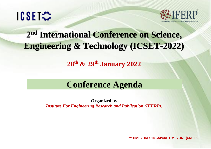# ICSET☆



# **2 nd International Conference on Science, Engineering & Technology (ICSET-2022)**

**28 th & 29 th January 2022**

## **Conference Agenda**

**Organized by**

*Institute For Engineering Research and Publication (IFERP).*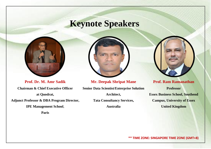## **Keynote Speakers**



**Prof. Dr. M. Amr Sadik Chairman & Chief Executive Officer at Quodrat, Adjunct Professor & DBA Program Director, IPE Management School**,

**Paris**



**Mr. Deepak Shripat Mane**

**Senior Data Scientist/Enterprise Solution Architect, Tata Consultancy Services, Australia**



**Prof. Ram Ramanathan Professor Essex Business School, Southend Campus, University of Essex United Kingdom**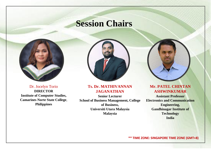## **Session Chairs**



Dr. Jocelyn Torio **DIRECTOR Institute of Computer Studies, Camarines Norte State College**, **Philippines**

#### **Ts. Dr. MATHIVANNAN JAGANATHAN**

**Senior Lecturer School of Business Management, College of Business, Universiti Utara Malaysia Malaysia**

#### **Mr. PATEL CHINTAN ASHWINKUMAR**

**Assistant Professor Electronics and Communication Engineering, Gandhinagar Institute of Technology India**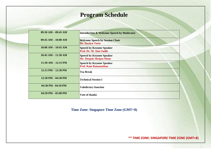### **Program Schedule**

| $09:30$ AM $- 09:45$ AM | <b>Introduction &amp; Welcome Speech by Moderator</b>              |  |
|-------------------------|--------------------------------------------------------------------|--|
| $09:45 AM - 10:00 AM$   | <b>Welcome Speech by Session Chair</b><br><b>Dr. Jocelyn Torio</b> |  |
| $10:00$ AM $- 10:45$ AM | <b>Speech by Keynote Speaker</b><br>Prof. Dr. M. Amr Sadik         |  |
| $10:45$ AM $- 11:30$ AM | <b>Speech by Keynote Speaker</b><br><b>Mr. Deepak Shripat Mane</b> |  |
| $11:30$ AM $- 12:15$ PM | <b>Speech by Keynote Speaker</b><br><b>Prof. Ram Ramanathan</b>    |  |
| $12:15$ PM $- 12:30$ PM | <b>Tea Break</b>                                                   |  |
| $12:30$ PM $- 04:30$ PM | <b>Technical Session I</b>                                         |  |
| 04:30 PM - 04:50 PM     | <b>Valedictory function</b>                                        |  |
| $04:50$ PM $- 05:00$ PM | <b>Vote of thanks</b>                                              |  |

**Time Zone: Singapore Time Zone (GMT+8)**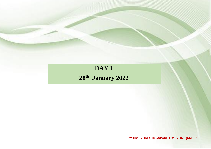### **DAY 1**

**28th January 2022**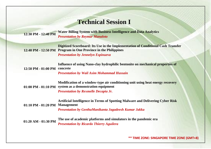### **Technical Session I**

**12:30 PM - 12:40 PM Water Billing System with Business Intelligence and Data Analytics** *Presentation by Reymar Manaloto*

**12:40 PM - 12:50 PM Program in One Province in the Philippines Digitized Scoreboard: Its Use in the Implementation of Conditional Cash Transfer**  *Presentation by Jennelyn Espinueva*

|                                                | Influence of using Nano-clay hydrophilic bentonite on mechanical properties of |
|------------------------------------------------|--------------------------------------------------------------------------------|
| $12:50 \text{ PM} - 01:00 \text{ PM}$ concrete |                                                                                |

*Presentation by Wail Asim Mohammad Hussain*

| Modification of a window-type air conditioning unit using heat energy recovery |
|--------------------------------------------------------------------------------|
| 01:00 PM - 01:10 PM system as a demonstration equipment                        |
| <b>Presentation by Rexmelle Decapia Jr.</b>                                    |

| $01:10$ PM $-01:20$ PM Management | Artificial Intelligence in Terms of Spotting Malware and Delivering Cyber Risk                                                                                                                                                                                                                                                                                                    |
|-----------------------------------|-----------------------------------------------------------------------------------------------------------------------------------------------------------------------------------------------------------------------------------------------------------------------------------------------------------------------------------------------------------------------------------|
|                                   | <b>Presentation by GeethaManikanta Jagadeesh Kumar Jakka</b>                                                                                                                                                                                                                                                                                                                      |
| 01:20 AM - 01:30 PM               | The use of academic platforms and simulators in the pandemic era<br>$\mathcal{L}$ , and the state of $\mathcal{L}$ and $\mathcal{L}$ and $\mathcal{L}$ and $\mathcal{L}$ and $\mathcal{L}$ and $\mathcal{L}$ and $\mathcal{L}$ and $\mathcal{L}$ and $\mathcal{L}$ and $\mathcal{L}$ and $\mathcal{L}$ and $\mathcal{L}$ and $\mathcal{L}$ and $\mathcal{L}$ and $\mathcal{L}$ an |

*Presentation by Ricardo Thierry Aguilera*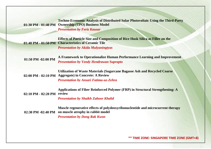**01:30 PM - 01:40 PM Ownership (TPO) Business Model Techno-Economic Analysis of Distributed Solar Photovoltaic Using the Third-Party**  *Presentation by Feriz Kausar*

**01:40 PM - 01:50 PM Characteristics of Ceramic Tile Effects of Particle Size and Composition of Rice Husk Silica as Filler on the**  *Presentation by Akida Mulyaningtyas*

**01:50 PM -02:00 PM A Framework to Operationalize Human Performance Learning and Improvement** *Presentation by Vendy Hendrawan Suprapto*

**02:00 PM - 02:10 PM Aggregate) in Concrete: A Review Utilization of Waste Materials (Sugarcane Bagasse Ash and Recycled Coarse**  *Presentation by Ansari Fatima-uz-Zehra*

**02:10 PM - 02:20 PM review Applications of Fiber Reinforced Polymer (FRP) in Structural Strengthening: A** 

*Presentation by Shaikh Zahoor Khalid*

**02:30 PM -02:40 PM on muscle atrophy in rabbit model Muscle regenerative effects of polydeoxyribonucleotide and microcurrent therapy**  *Presentation by Dong Rak Kwon*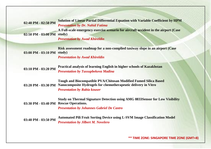**02:40 PM - 02:50 PM Solution of Linear Partial Differential Equation with Variable Coefficient by HPM** *Presentation by Dr. Nahid Fatima* **02:50 PM - 03:00 PM study) A Full-scale emergency exercise scenario for aircraft accident in the airport (Case**  *Presentation by Awad Khireldin*

**03:00 PM - 03:10 PM study) Risk assessment roadmap for a non-complied taxiway slope in an airport (Case**  *Presentation by Awad Khireldin*

**03:10 PM - 03:20 PM Practical analysis of learning English in higher schools of Kazakhstan** *Presentation by Tussupbekova Madina*

**03:20 PM - 03:30 PM Nanocomposite Hydrogels for chemotherapeutic delivery in Vitro Tough and Biocompatible PVA/Chitosan Modified Fumed Silica Based**  *Presentation by Rabia kouser*

**03:30 PM - 03:40 PM Rescue Operations. Study on Thermal Signature Detection using AMG 8833Sensor for Low Visibility** 

*Presentation by Johannes Gabriel De Castro*

**03:40 PM - 03:50 PM Automated Pili Fruit Sorting Device using L-SVM Image Classification Model** *Presentation by Jilbert M. Novelero*